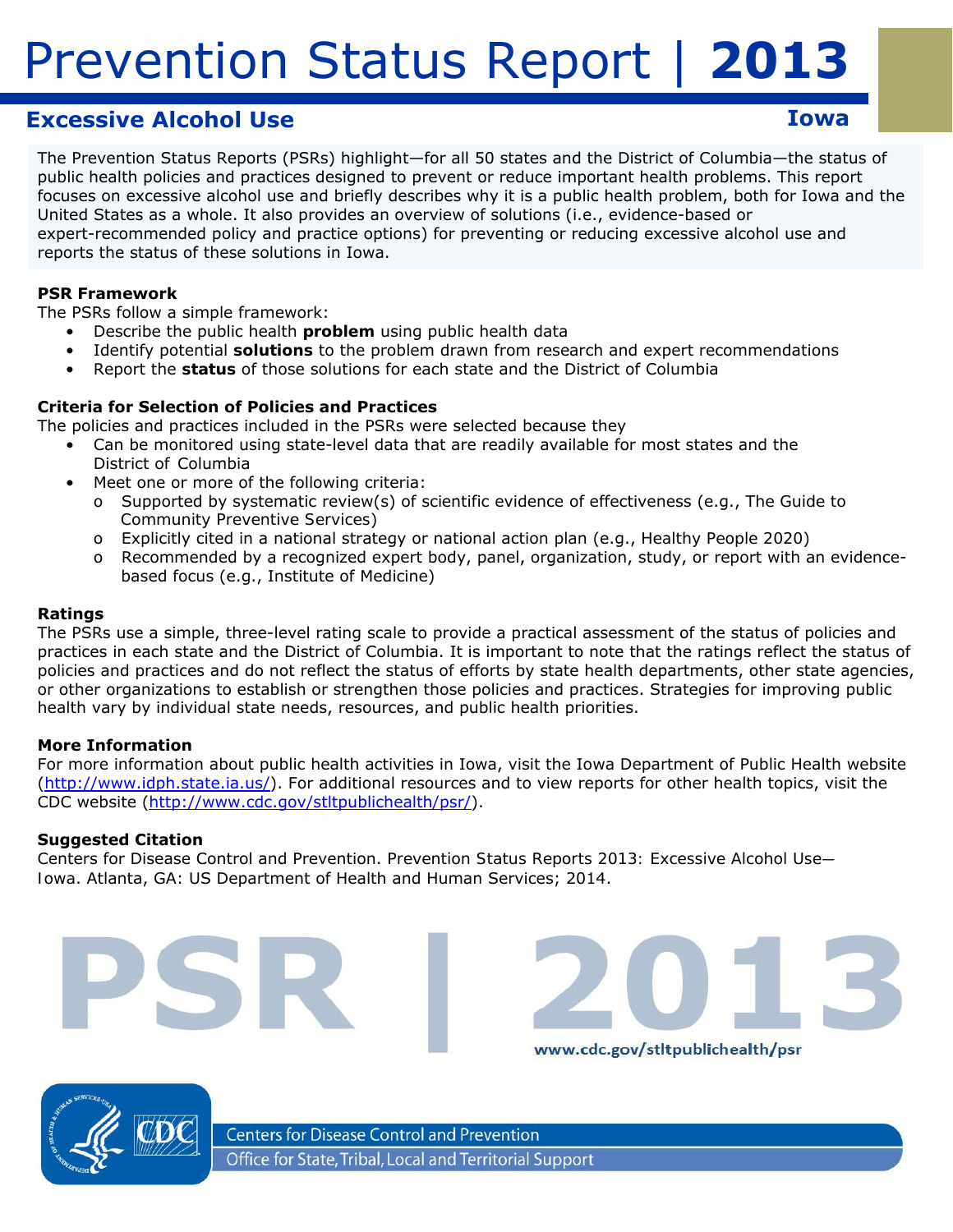## **Excessive Alcohol Use Iowa**

The Prevention Status Reports (PSRs) highlight—for all 50 states and the District of Columbia—the status of public health policies and practices designed to prevent or reduce important health problems. This report focuses on excessive alcohol use and briefly describes why it is a public health problem, both for Iowa and the United States as a whole. It also provides an overview of solutions (i.e., evidence-based or expert-recommended policy and practice options) for preventing or reducing excessive alcohol use and reports the status of these solutions in Iowa.

#### **PSR Framework**

The PSRs follow a simple framework:

- Describe the public health *problem* using public health data
- Identify potential *solutions* to the problem drawn from research and expert recommendations
- • Report the *status* of those solutions for each state and the District of Columbia

#### **Criteria for Selection of Policies and Practices**

The policies and practices included in the PSRs were selected because they

- Can be monitored using state-level data that are readily available for most states and the District of Columbia
	- Meet one or more of the following criteria:
		- o Supported by systematic review(s) of scientific evidence of effectiveness (e.g., *The Guide to Community Preventive Services*)
		- o Explicitly cited in a national strategy or national action plan (e.g., *Healthy People 2020*)
		- o Recommended by a recognized expert body, panel, organization, study, or report with an evidencebased focus (e.g., Institute of Medicine)

#### **Ratings**

The PSRs use a simple, three-level rating scale to provide a practical assessment of the status of policies and practices in each state and the District of Columbia. It is important to note that the ratings reflect the *status of policies and practices* and do not reflect the *status of efforts* by state health departments, other state agencies, or other organizations to establish or strengthen those policies and practices. Strategies for improving public health vary by individual state needs, resources, and public health priorities.

#### **More Information**

For more information about public health activities in Iowa, visit the Iowa Department of Public Health website (http://www.idph.state.ia.us/). For additional resources and to view reports for other health topics, visit the CDC website (http://www.cdc.gov/stltpublichealth/psr/).

www.cdc.gov/stltpublichealth/psr

#### **Suggested Citation**

Centers for Disease Control and Prevention. *Prevention Status Reports 2013: Excessive Alcohol Use— Iowa*. Atlanta, GA: US Department of Health and Human Services; 2014.



**Centers for Disease Control and Prevention** Office for State, Tribal, Local and Territorial Support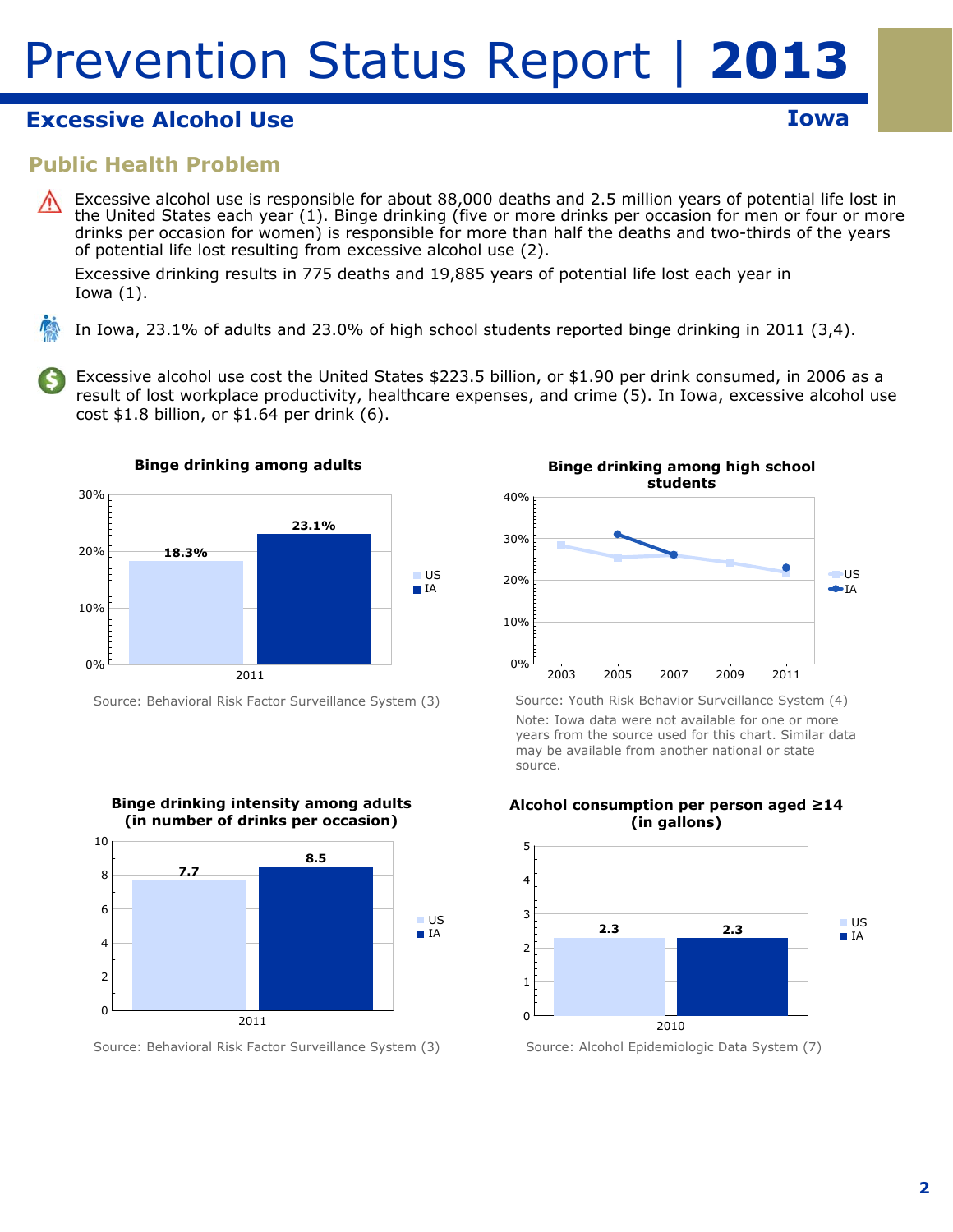## **Excessive Alcohol Use Iowa**

**Public Health Problem** 

Excessive alcohol use is responsible for about 88,000 deaths and 2.5 million years of potential life lost in the United States each year (1). Binge drinking (five or more drinks per occasion for men or four or more drinks per occasion for women) is responsible for more than half the deaths and two-thirds of the years of potential life lost resulting from excessive alcohol use (2).

Excessive drinking results in 775 deaths and 19,885 years of potential life lost each year in Iowa (1).

In Iowa, 23.1% of adults and 23.0% of high school students reported binge drinking in 2011 (3,4).

Excessive alcohol use cost the United States \$223.5 billion, or \$1.90 per drink consumed, in 2006 as a result of lost workplace productivity, healthcare expenses, and crime (5). In Iowa, excessive alcohol use cost \$1.8 billion, or \$1.64 per drink (6).



Source: Behavioral Risk Factor Surveillance System (3)



Source: Behavioral Risk Factor Surveillance System (3)



Source: Youth Risk Behavior Surveillance System (4) Note: Iowa data were not available for one or more years from the source used for this chart. Similar data may be available from another national or state source.



**Alcohol consumption per person aged ≥14 (in gallons)** 

Source: Alcohol Epidemiologic Data System (7)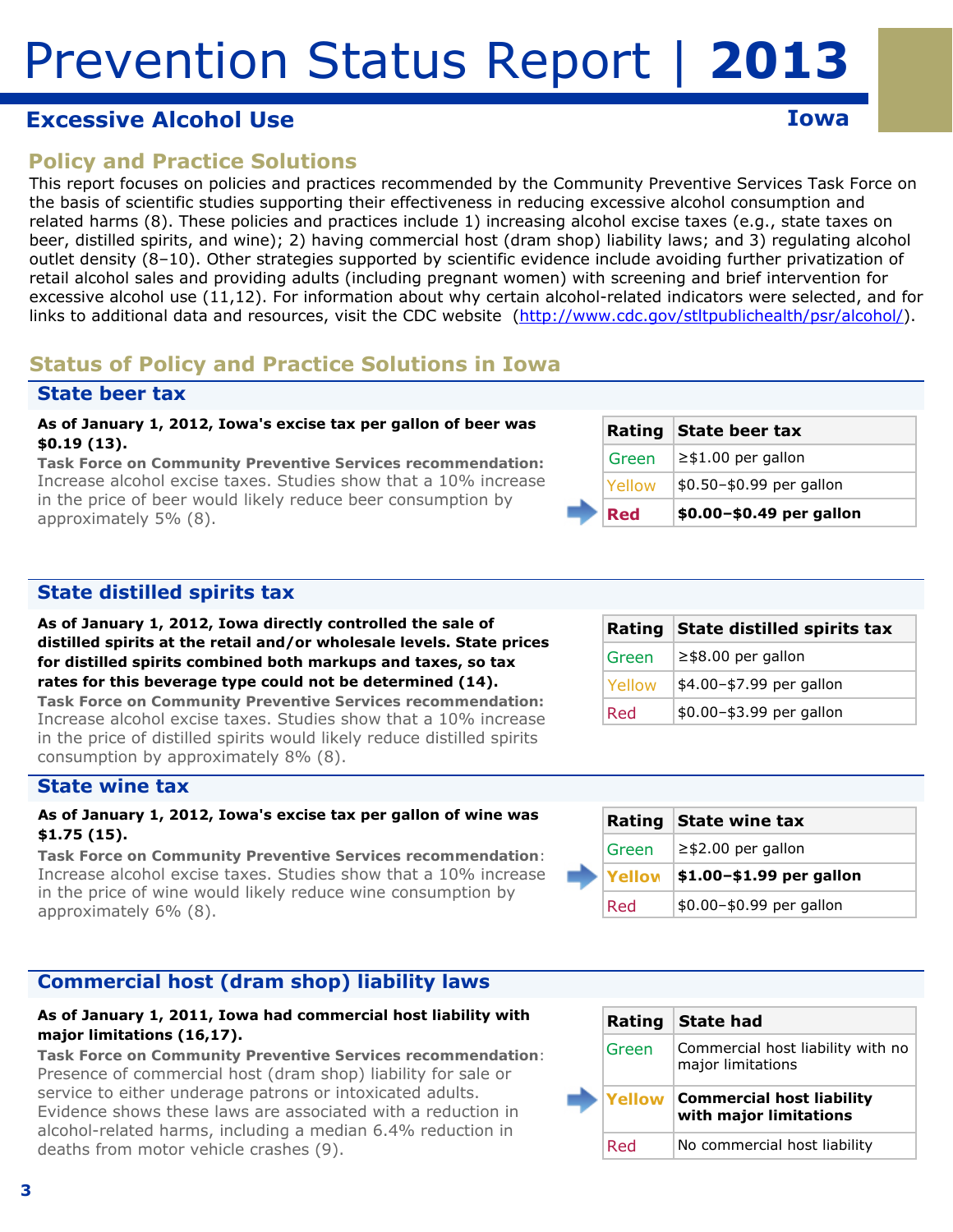## **Excessive Alcohol Use Iowa**

## **Policy and Practice Solutions**

This report focuses on policies and practices recommended by the Community Preventive Services Task Force on the basis of scientific studies supporting their effectiveness in reducing excessive alcohol consumption and related harms (8). These policies and practices include 1) increasing alcohol excise taxes (e.g., state taxes on beer, distilled spirits, and wine); 2) having commercial host (dram shop) liability laws; and 3) regulating alcohol outlet density (8–10). Other strategies supported by scientific evidence include avoiding further privatization of retail alcohol sales and providing adults (including pregnant women) with screening and brief intervention for excessive alcohol use (11,12). For information about why certain alcohol-related indicators were selected, and for links to additional data and resources, visit the CDC website (http://www.cdc.gov/stltpublichealth/psr/alcohol/).

## **Status of Policy and Practice Solutions in Iowa**

### **State beer tax**

#### **As of January 1, 2012, Iowa's excise tax per gallon of beer was \$0.19 (13).**

*Task Force on Community Preventive Services recommendation:*  Increase alcohol excise taxes. Studies show that a 10% increase in the price of beer would likely reduce beer consumption by approximately 5% (8).

| Red    | \$0.00-\$0.49 per gallon |
|--------|--------------------------|
| Yellow | \$0.50-\$0.99 per gallon |
| Green  | $\geq$ \$1.00 per gallon |
|        | Rating State beer tax    |

### **State distilled spirits tax**

**As of January 1, 2012, Iowa directly controlled the sale of distilled spirits at the retail and/or wholesale levels. State prices for distilled spirits combined both markups and taxes, so tax rates for this beverage type could not be determined (14).** 

*Task Force on Community Preventive Services recommendation:*  Increase alcohol excise taxes. Studies show that a 10% increase in the price of distilled spirits would likely reduce distilled spirits consumption by approximately 8% (8).

#### **State wine tax**

#### **As of January 1, 2012, Iowa's excise tax per gallon of wine was \$1.75 (15).**

*Task Force on Community Preventive Services recommendation*: Increase alcohol excise taxes. Studies show that a 10% increase in the price of wine would likely reduce wine consumption by approximately 6% (8).

### **Commercial host (dram shop) liability laws**

#### **As of January 1, 2011, Iowa had commercial host liability with major limitations (16,17).**

*Task Force on Community Preventive Services recommendation*: Presence of commercial host (dram shop) liability for sale or service to either underage patrons or intoxicated adults. Evidence shows these laws are associated with a reduction in alcohol-related harms, including a median 6.4% reduction in deaths from motor vehicle crashes (9).

|               | Rating State distilled spirits tax |
|---------------|------------------------------------|
| Green         | $\ge$ \$8.00 per gallon            |
| <b>Yellow</b> | \$4.00-\$7.99 per gallon           |
| Red           | \$0.00-\$3.99 per gallon           |

|  |        | Rating State wine tax     |
|--|--------|---------------------------|
|  | Green  | $\ge$ \$2.00 per gallon   |
|  | Yellow | $ $1.00-$1.99$ per gallon |
|  | Red    | \$0.00-\$0.99 per gallon  |

|       | Rating State had                                                  |
|-------|-------------------------------------------------------------------|
| Green | Commercial host liability with no<br>major limitations            |
|       |                                                                   |
|       | <b>Yellow Commercial host liability</b><br>with major limitations |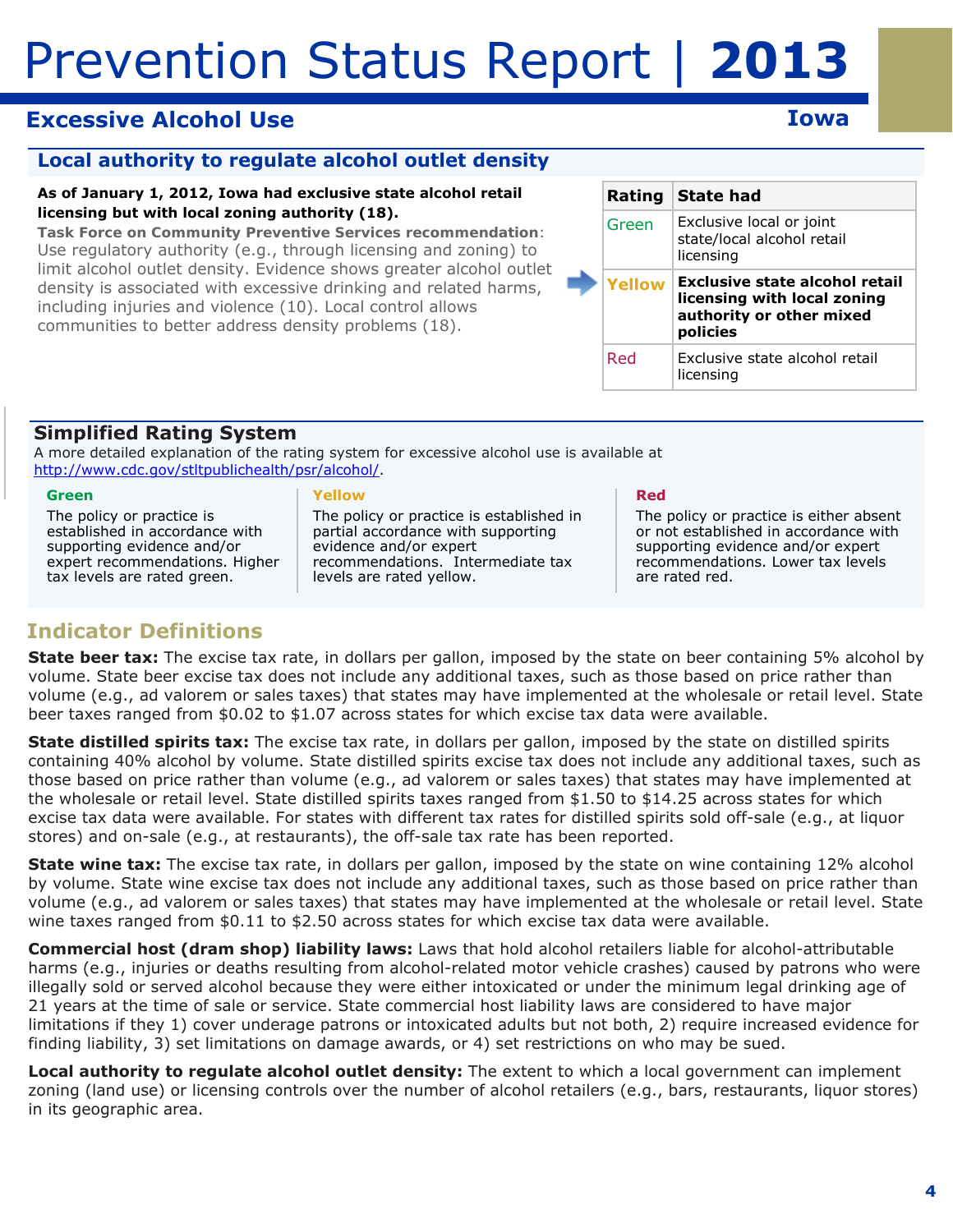## **Excessive Alcohol Use Iowa**

### **Local authority to regulate alcohol outlet density**

#### **As of January 1, 2012, Iowa had exclusive state alcohol retail licensing but with local zoning authority (18).**

*Task Force on Community Preventive Services recommendation*: Use regulatory authority (e.g., through licensing and zoning) to limit alcohol outlet density. Evidence shows greater alcohol outlet density is associated with excessive drinking and related harms, including injuries and violence (10). Local control allows communities to better address density problems (18).

|  | Rating        | State had                                                                                             |
|--|---------------|-------------------------------------------------------------------------------------------------------|
|  | Green         | Exclusive local or joint<br>state/local alcohol retail<br>licensing                                   |
|  | <b>Yellow</b> | Exclusive state alcohol retail<br>licensing with local zoning<br>authority or other mixed<br>policies |
|  | Red           | Exclusive state alcohol retail<br>licensing                                                           |

### **Simplified Rating System**

A more detailed explanation of the rating system for excessive alcohol use is available at http://www.cdc.gov/stltpublichealth/psr/alcohol/.

#### **Green**

The policy or practice is established in accordance with supporting evidence and/or expert recommendations. Higher tax levels are rated green.

#### **Yellow**

The policy or practice is established in partial accordance with supporting evidence and/or expert recommendations. Intermediate tax levels are rated yellow.

#### **Red**

The policy or practice is either absent or not established in accordance with supporting evidence and/or expert recommendations. Lower tax levels are rated red.

## **Indicator Definitions**

**State beer tax:** The excise tax rate, in dollars per gallon, imposed by the state on beer containing 5% alcohol by volume. State beer excise tax does not include any additional taxes, such as those based on price rather than volume (e.g., ad valorem or sales taxes) that states may have implemented at the wholesale or retail level. State beer taxes ranged from \$0.02 to \$1.07 across states for which excise tax data were available.

**State distilled spirits tax:** The excise tax rate, in dollars per gallon, imposed by the state on distilled spirits containing 40% alcohol by volume. State distilled spirits excise tax does not include any additional taxes, such as those based on price rather than volume (e.g., ad valorem or sales taxes) that states may have implemented at the wholesale or retail level. State distilled spirits taxes ranged from \$1.50 to \$14.25 across states for which excise tax data were available. For states with different tax rates for distilled spirits sold off-sale (e.g., at liquor stores) and on-sale (e.g., at restaurants), the off-sale tax rate has been reported.

**State wine tax:** The excise tax rate, in dollars per gallon, imposed by the state on wine containing 12% alcohol by volume. State wine excise tax does not include any additional taxes, such as those based on price rather than volume (e.g., ad valorem or sales taxes) that states may have implemented at the wholesale or retail level. State wine taxes ranged from \$0.11 to \$2.50 across states for which excise tax data were available.

**Commercial host (dram shop) liability laws:** Laws that hold alcohol retailers liable for alcohol-attributable harms (e.g., injuries or deaths resulting from alcohol-related motor vehicle crashes) caused by patrons who were illegally sold or served alcohol because they were either intoxicated or under the minimum legal drinking age of 21 years at the time of sale or service. State commercial host liability laws are considered to have major limitations if they 1) cover underage patrons or intoxicated adults but not both, 2) require increased evidence for finding liability, 3) set limitations on damage awards, or 4) set restrictions on who may be sued.

 in its geographic area. **Local authority to regulate alcohol outlet density:** The extent to which a local government can implement zoning (land use) or licensing controls over the number of alcohol retailers (e.g., bars, restaurants, liquor stores)